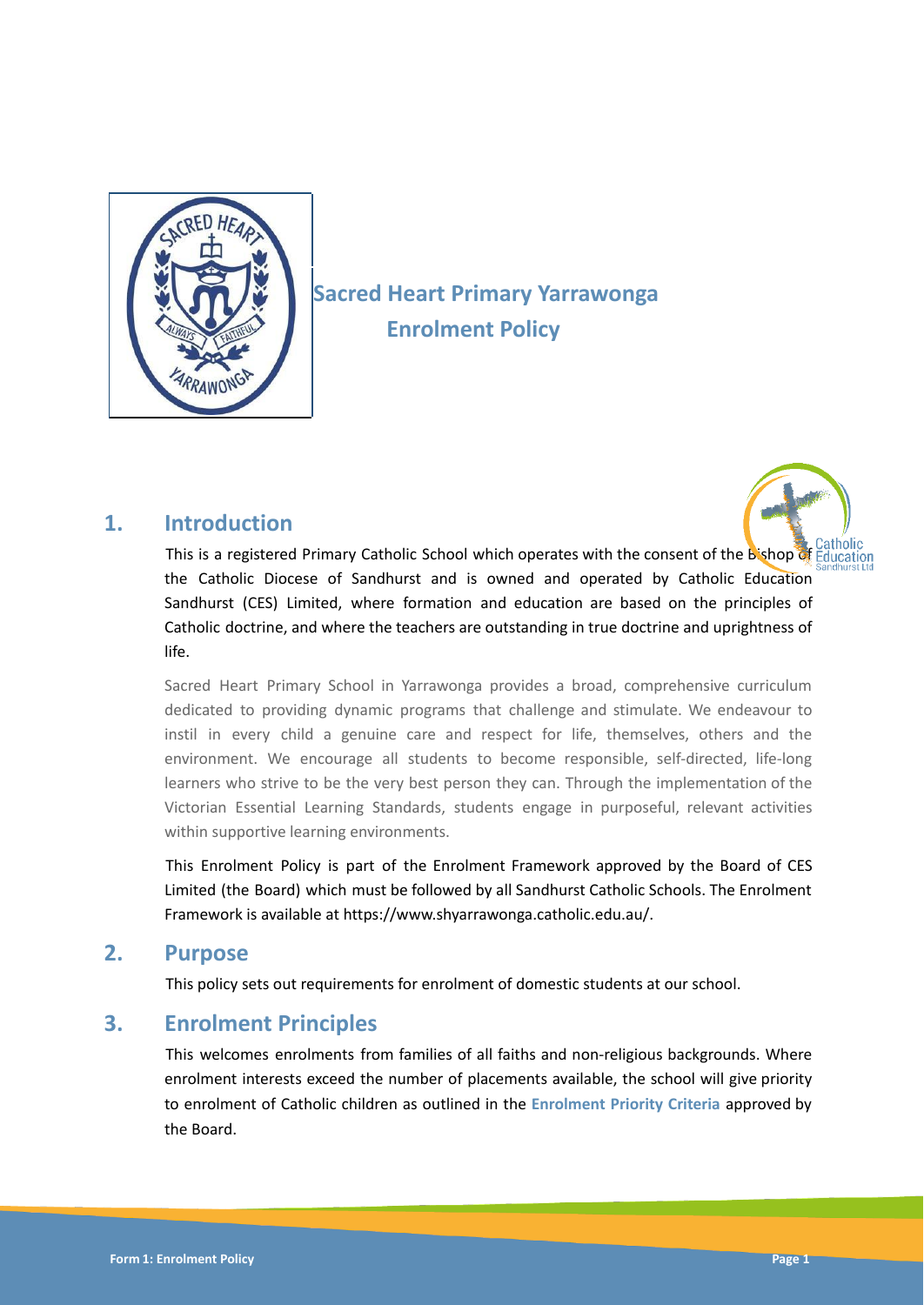

# **Sacred Heart Primary Yarrawonga Enrolment Policy**

### **1. Introduction**



This is a registered Primary Catholic School which operates with the consent of the Bishop of Education the Catholic Diocese of Sandhurst and is owned and operated by Catholic Education Sandhurst (CES) Limited, where formation and education are based on the principles of Catholic doctrine, and where the teachers are outstanding in true doctrine and uprightness of life.

Sacred Heart Primary School in Yarrawonga provides a broad, comprehensive curriculum dedicated to providing dynamic programs that challenge and stimulate. We endeavour to instil in every child a genuine care and respect for life, themselves, others and the environment. We encourage all students to become responsible, self-directed, life-long learners who strive to be the very best person they can. Through the implementation of the Victorian Essential Learning Standards, students engage in purposeful, relevant activities within supportive learning environments.

This Enrolment Policy is part of the Enrolment Framework approved by the Board of CES Limited (the Board) which must be followed by all Sandhurst Catholic Schools. The Enrolment Framework is available at https://www.shyarrawonga.catholic.edu.au/.

### **2. Purpose**

This policy sets out requirements for enrolment of domestic students at our school.

### **3. Enrolment Principles**

This welcomes enrolments from families of all faiths and non-religious backgrounds. Where enrolment interests exceed the number of placements available, the school will give priority to enrolment of Catholic children as outlined in the **Enrolment Priority Criteria** approved by the Board.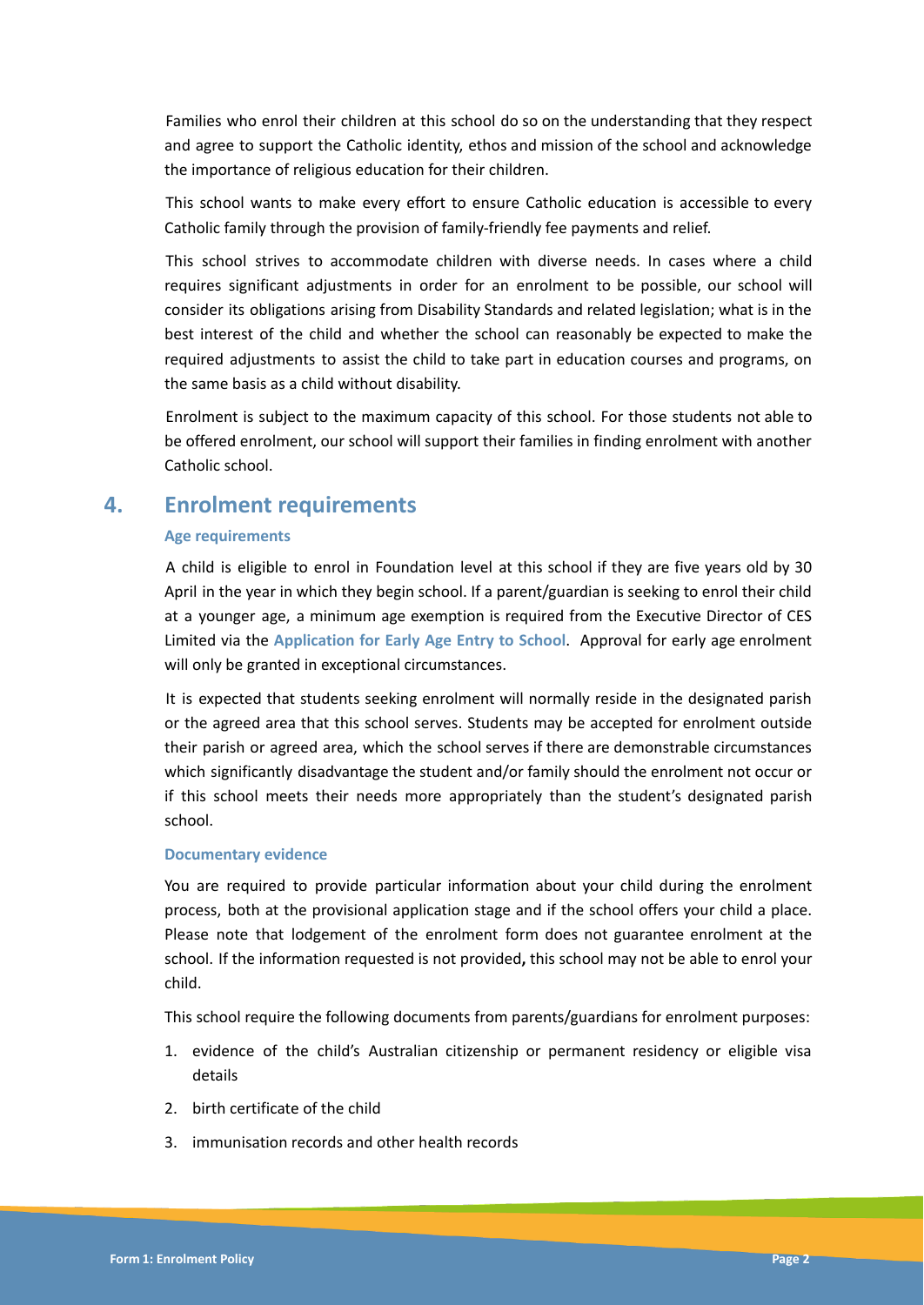Families who enrol their children at this school do so on the understanding that they respect and agree to support the Catholic identity, ethos and mission of the school and acknowledge the importance of religious education for their children.

This school wants to make every effort to ensure Catholic education is accessible to every Catholic family through the provision of family-friendly fee payments and relief.

This school strives to accommodate children with diverse needs. In cases where a child requires significant adjustments in order for an enrolment to be possible, our school will consider its obligations arising from Disability Standards and related legislation; what is in the best interest of the child and whether the school can reasonably be expected to make the required adjustments to assist the child to take part in education courses and programs, on the same basis as a child without disability.

Enrolment is subject to the maximum capacity of this school. For those students not able to be offered enrolment, our school will support their families in finding enrolment with another Catholic school.

### **4. Enrolment requirements**

#### **Age requirements**

A child is eligible to enrol in Foundation level at this school if they are five years old by 30 April in the year in which they begin school. If a parent/guardian is seeking to enrol their child at a younger age, a minimum age exemption is required from the Executive Director of CES Limited via the **Application for Early Age Entry to School**. Approval for early age enrolment will only be granted in exceptional circumstances.

It is expected that students seeking enrolment will normally reside in the designated parish or the agreed area that this school serves. Students may be accepted for enrolment outside their parish or agreed area, which the school serves if there are demonstrable circumstances which significantly disadvantage the student and/or family should the enrolment not occur or if this school meets their needs more appropriately than the student's designated parish school.

#### **Documentary evidence**

You are required to provide particular information about your child during the enrolment process, both at the provisional application stage and if the school offers your child a place. Please note that lodgement of the enrolment form does not guarantee enrolment at the school. If the information requested is not provided**,** this school may not be able to enrol your child.

This school require the following documents from parents/guardians for enrolment purposes:

- 1. evidence of the child's Australian citizenship or permanent residency or eligible visa details
- 2. birth certificate of the child
- 3. immunisation records and other health records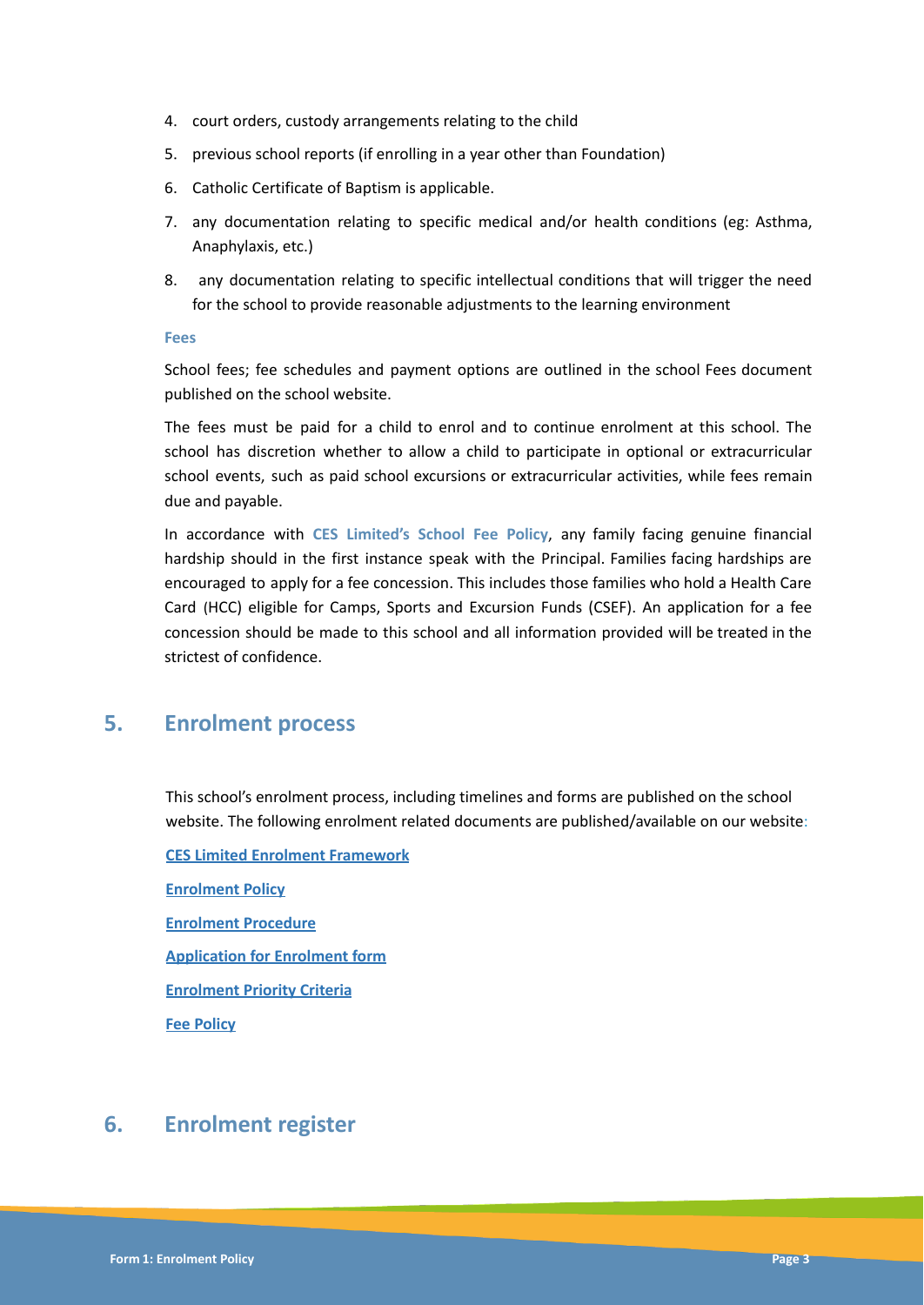- 4. court orders, custody arrangements relating to the child
- 5. previous school reports (if enrolling in a year other than Foundation)
- 6. Catholic Certificate of Baptism is applicable.
- 7. any documentation relating to specific medical and/or health conditions (eg: Asthma, Anaphylaxis, etc.)
- 8. any documentation relating to specific intellectual conditions that will trigger the need for the school to provide reasonable adjustments to the learning environment

#### **Fees**

School fees; fee schedules and payment options are outlined in the school Fees document published on the school website.

The fees must be paid for a child to enrol and to continue enrolment at this school. The school has discretion whether to allow a child to participate in optional or extracurricular school events, such as paid school excursions or extracurricular activities, while fees remain due and payable.

In accordance with **CES Limited's School Fee Policy**, any family facing genuine financial hardship should in the first instance speak with the Principal. Families facing hardships are encouraged to apply for a fee concession. This includes those families who hold a Health Care Card (HCC) eligible for Camps, Sports and Excursion Funds (CSEF). An application for a fee concession should be made to this school and all information provided will be treated in the strictest of confidence.

### **5. Enrolment process**

This school's enrolment process, including timelines and forms are published on the school website. The following enrolment related documents are published/available on our website:

**CES Limited Enrolment Framework Enrolment Policy Enrolment Procedure Application for Enrolment form Enrolment Priority Criteria Fee Policy**

### **6. Enrolment register**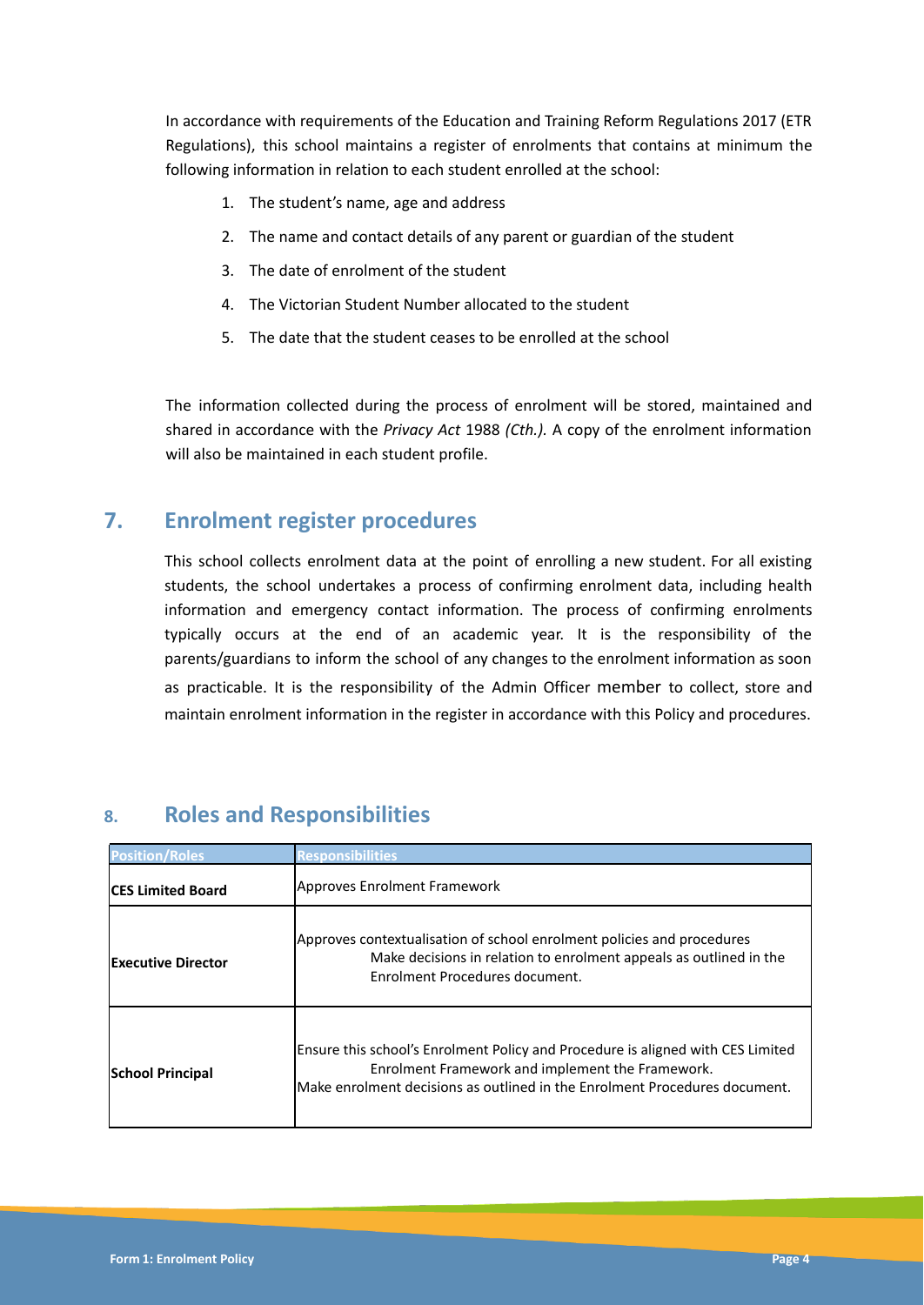In accordance with requirements of the Education and Training Reform Regulations 2017 (ETR Regulations), this school maintains a register of enrolments that contains at minimum the following information in relation to each student enrolled at the school:

- 1. The student's name, age and address
- 2. The name and contact details of any parent or guardian of the student
- 3. The date of enrolment of the student
- 4. The Victorian Student Number allocated to the student
- 5. The date that the student ceases to be enrolled at the school

The information collected during the process of enrolment will be stored, maintained and shared in accordance with the *Privacy Act* 1988 *(Cth.).* A copy of the enrolment information will also be maintained in each student profile.

# **7. Enrolment register procedures**

This school collects enrolment data at the point of enrolling a new student. For all existing students, the school undertakes a process of confirming enrolment data, including health information and emergency contact information. The process of confirming enrolments typically occurs at the end of an academic year. It is the responsibility of the parents/guardians to inform the school of any changes to the enrolment information as soon as practicable. It is the responsibility of the Admin Officer member to collect, store and maintain enrolment information in the register in accordance with this Policy and procedures.

| <b>Position/Roles</b>     | Responsibili <u>ties</u>                                                                                                                                                                                          |
|---------------------------|-------------------------------------------------------------------------------------------------------------------------------------------------------------------------------------------------------------------|
| <b>ICES Limited Board</b> | Approves Enrolment Framework                                                                                                                                                                                      |
| lExecutive Director       | Approves contextualisation of school enrolment policies and procedures<br>Make decisions in relation to enrolment appeals as outlined in the<br>Enrolment Procedures document.                                    |
| <b>School Principal</b>   | Ensure this school's Enrolment Policy and Procedure is aligned with CES Limited<br>Enrolment Framework and implement the Framework.<br>Make enrolment decisions as outlined in the Enrolment Procedures document. |

# **8. Roles and Responsibilities**